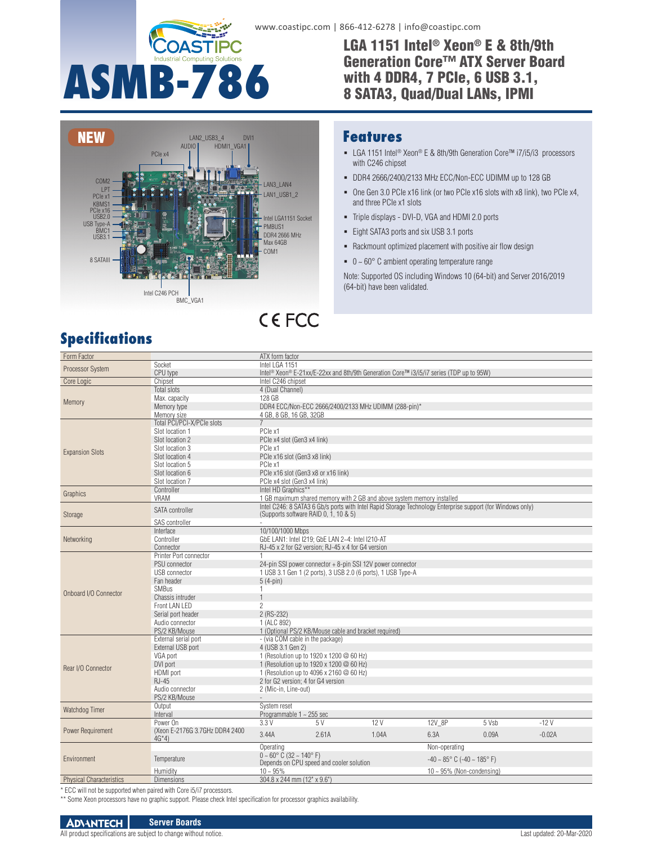

### www.coastipc.com | 866-412-6278 | info@coastipc.com

**Features**

with C246 chipset

LGA 1151 Intel® Xeon® E & 8th/9th Generation Core™ ATX Server Board with 4 DDR4, 7 PCIe, 6 USB 3.1, 8 SATA3, Quad/Dual LANs, IPMI

LGA 1151 Intel® Xeon® E & 8th/9th Generation Core™ i7/i5/i3 processors

 DDR4 2666/2400/2133 MHz ECC/Non-ECC UDIMM up to 128 GB One Gen 3.0 PCIe x16 link (or two PCIe x16 slots with x8 link), two PCIe x4,



## and three PCIe x1 slots Triple displays - DVI-D, VGA and HDMI 2.0 ports

**CEFCC** 

- Eight SATA3 ports and six USB 3.1 ports
- Rackmount optimized placement with positive air flow design
- $\bullet$  0 ~ 60 $\degree$  C ambient operating temperature range

Note: Supported OS including Windows 10 (64-bit) and Server 2016/2019 (64-bit) have been validated.

## **Specifications**

| Form Factor                                                        |                                 | ATX form factor                       |                                                              |                                                                                                                 |                                                     |                                                                                                            |          |
|--------------------------------------------------------------------|---------------------------------|---------------------------------------|--------------------------------------------------------------|-----------------------------------------------------------------------------------------------------------------|-----------------------------------------------------|------------------------------------------------------------------------------------------------------------|----------|
| Processor System                                                   | Socket                          | Intel LGA 1151                        |                                                              |                                                                                                                 |                                                     |                                                                                                            |          |
|                                                                    | CPU type                        |                                       |                                                              | Intel <sup>®</sup> Xeon <sup>®</sup> E-21xx/E-22xx and 8th/9th Generation Core™ i3/i5/i7 series (TDP up to 95W) |                                                     |                                                                                                            |          |
| Core Logic                                                         | Chipset                         | Intel C246 chipset                    |                                                              |                                                                                                                 |                                                     |                                                                                                            |          |
| Memory                                                             | <b>Total slots</b>              | 4 (Dual Channel)                      |                                                              |                                                                                                                 |                                                     |                                                                                                            |          |
|                                                                    | Max. capacity                   | 128 GB                                |                                                              |                                                                                                                 |                                                     |                                                                                                            |          |
|                                                                    | Memory type                     |                                       |                                                              | DDR4 ECC/Non-ECC 2666/2400/2133 MHz UDIMM (288-pin)*                                                            |                                                     |                                                                                                            |          |
|                                                                    | Memory size                     | 4 GB, 8 GB, 16 GB, 32GB               |                                                              |                                                                                                                 |                                                     |                                                                                                            |          |
|                                                                    | Total PCI/PCI-X/PCIe slots      | $\overline{7}$                        |                                                              |                                                                                                                 |                                                     |                                                                                                            |          |
| <b>Expansion Slots</b>                                             | Slot location 1                 | PCle x1                               |                                                              |                                                                                                                 |                                                     |                                                                                                            |          |
|                                                                    | Slot location 2                 | PCle x4 slot (Gen3 x4 link)           |                                                              |                                                                                                                 |                                                     |                                                                                                            |          |
|                                                                    | Slot location 3                 | PCle x1                               |                                                              |                                                                                                                 |                                                     |                                                                                                            |          |
|                                                                    | Slot location 4                 | PCle x16 slot (Gen3 x8 link)          |                                                              |                                                                                                                 |                                                     |                                                                                                            |          |
|                                                                    | Slot location 5                 | PCIe x1                               |                                                              |                                                                                                                 |                                                     |                                                                                                            |          |
|                                                                    | Slot location 6                 | PCle x16 slot (Gen3 x8 or x16 link)   |                                                              |                                                                                                                 |                                                     |                                                                                                            |          |
|                                                                    | Slot location 7                 | PCle x4 slot (Gen3 x4 link)           |                                                              |                                                                                                                 |                                                     |                                                                                                            |          |
|                                                                    | Controller                      | Intel HD Graphics**                   |                                                              |                                                                                                                 |                                                     |                                                                                                            |          |
| Graphics                                                           | VRAM                            |                                       |                                                              | 1 GB maximum shared memory with 2 GB and above system memory installed                                          |                                                     |                                                                                                            |          |
|                                                                    |                                 |                                       |                                                              |                                                                                                                 |                                                     | Intel C246: 8 SATA3 6 Gb/s ports with Intel Rapid Storage Technology Enterprise support (for Windows only) |          |
| Storage                                                            | SATA controller                 | (Supports software RAID 0, 1, 10 & 5) |                                                              |                                                                                                                 |                                                     |                                                                                                            |          |
|                                                                    | SAS controller                  |                                       |                                                              |                                                                                                                 |                                                     |                                                                                                            |          |
|                                                                    | Interface                       | 10/100/1000 Mbps                      |                                                              |                                                                                                                 |                                                     |                                                                                                            |          |
| Networking                                                         | Controller                      |                                       | GbE LAN1: Intel I219; GbE LAN 2~4: Intel I210-AT             |                                                                                                                 |                                                     |                                                                                                            |          |
|                                                                    | Connector                       |                                       | RJ-45 x 2 for G2 version; RJ-45 x 4 for G4 version           |                                                                                                                 |                                                     |                                                                                                            |          |
|                                                                    | Printer Port connector          | $\mathbf{1}$                          |                                                              |                                                                                                                 |                                                     |                                                                                                            |          |
|                                                                    | <b>PSU</b> connector            |                                       | 24-pin SSI power connector + 8-pin SSI 12V power connector   |                                                                                                                 |                                                     |                                                                                                            |          |
|                                                                    | <b>USB</b> connector            |                                       | 1 USB 3.1 Gen 1 (2 ports), 3 USB 2.0 (6 ports), 1 USB Type-A |                                                                                                                 |                                                     |                                                                                                            |          |
|                                                                    | Fan header                      | $5(4-pin)$                            |                                                              |                                                                                                                 |                                                     |                                                                                                            |          |
|                                                                    | <b>SMBus</b>                    | $\mathbf{1}$                          |                                                              |                                                                                                                 |                                                     |                                                                                                            |          |
| Onboard I/O Connector                                              | Chassis intruder                | $\mathbf{1}$                          |                                                              |                                                                                                                 |                                                     |                                                                                                            |          |
|                                                                    | Front LAN LED                   | $\overline{c}$                        |                                                              |                                                                                                                 |                                                     |                                                                                                            |          |
|                                                                    |                                 |                                       |                                                              |                                                                                                                 |                                                     |                                                                                                            |          |
|                                                                    | Serial port header              | 2 (RS-232)                            |                                                              |                                                                                                                 |                                                     |                                                                                                            |          |
|                                                                    | Audio connector                 | 1 (ALC 892)                           |                                                              |                                                                                                                 |                                                     |                                                                                                            |          |
|                                                                    | PS/2 KB/Mouse                   |                                       | 1 (Optional PS/2 KB/Mouse cable and bracket required)        |                                                                                                                 |                                                     |                                                                                                            |          |
|                                                                    | External serial port            | - (via COM cable in the package)      |                                                              |                                                                                                                 |                                                     |                                                                                                            |          |
|                                                                    | External USB port               | 4 (USB 3.1 Gen 2)                     |                                                              |                                                                                                                 |                                                     |                                                                                                            |          |
|                                                                    | VGA port                        |                                       | 1 (Resolution up to 1920 x 1200 @ 60 Hz)                     |                                                                                                                 |                                                     |                                                                                                            |          |
| Rear I/O Connector                                                 | DVI port                        |                                       | 1 (Resolution up to 1920 x 1200 @ 60 Hz)                     |                                                                                                                 |                                                     |                                                                                                            |          |
|                                                                    | <b>HDMI</b> port                |                                       | 1 (Resolution up to 4096 x 2160 @ 60 Hz)                     |                                                                                                                 |                                                     |                                                                                                            |          |
|                                                                    | RJ-45                           | 2 for G2 version: 4 for G4 version    |                                                              |                                                                                                                 |                                                     |                                                                                                            |          |
|                                                                    | Audio connector                 | 2 (Mic-in, Line-out)                  |                                                              |                                                                                                                 |                                                     |                                                                                                            |          |
|                                                                    | PS/2 KB/Mouse                   |                                       |                                                              |                                                                                                                 |                                                     |                                                                                                            |          |
| Watchdog Timer                                                     | Output                          | System reset                          |                                                              |                                                                                                                 |                                                     |                                                                                                            |          |
|                                                                    | Interval                        | Programmable $1 \sim 255$ sec         |                                                              |                                                                                                                 |                                                     |                                                                                                            |          |
| Power Requirement                                                  | Power On                        | 3.3 V                                 | 5 V                                                          | 12V                                                                                                             | 12V_8P                                              | 5 Vsb                                                                                                      | $-12V$   |
|                                                                    | (Xeon E-2176G 3.7GHz DDR4 2400) | 3.44A                                 | 2.61A                                                        | 1.04A                                                                                                           | 6.3A                                                | 0.09A                                                                                                      | $-0.02A$ |
| Environment                                                        | $4G*4$                          |                                       |                                                              |                                                                                                                 |                                                     |                                                                                                            |          |
|                                                                    |                                 | Operating                             |                                                              |                                                                                                                 | Non-operating                                       |                                                                                                            |          |
|                                                                    | Temperature                     | $0 - 60^{\circ}$ C (32 ~ 140°F)       |                                                              |                                                                                                                 | $-40 \sim 85^{\circ}$ C ( $-40 \sim 185^{\circ}$ F) |                                                                                                            |          |
|                                                                    |                                 |                                       | Depends on CPU speed and cooler solution                     |                                                                                                                 |                                                     |                                                                                                            |          |
|                                                                    | Humidity                        | $10 - 95%$                            |                                                              |                                                                                                                 | $10 \sim 95\%$ (Non-condensing)                     |                                                                                                            |          |
| <b>Physical Characteristics</b>                                    | <b>Dimensions</b>               | 304.8 x 244 mm (12" x 9.6")           |                                                              |                                                                                                                 |                                                     |                                                                                                            |          |
| * ECC will not be supported when paired with Core i5/i7 processors |                                 |                                       |                                                              |                                                                                                                 |                                                     |                                                                                                            |          |

\* ECC will not be supported when paired with Core i5/i7 processors.

\*\* Some Xeon processors have no graphic support. Please check Intel specification for processor graphics availability.

#### **ADVANTECH Server Boards**